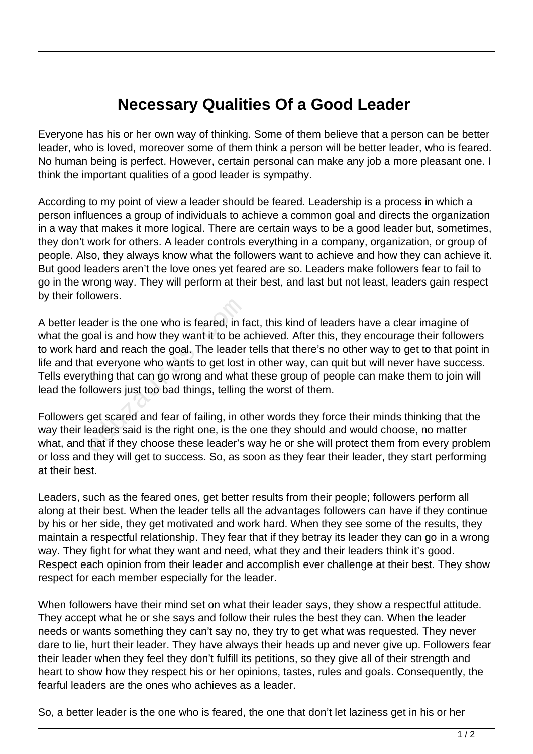## **Necessary Qualities Of a Good Leader**

Everyone has his or her own way of thinking. Some of them believe that a person can be better leader, who is loved, moreover some of them think a person will be better leader, who is feared. No human being is perfect. However, certain personal can make any job a more pleasant one. I think the important qualities of a good leader is sympathy.

According to my point of view a leader should be feared. Leadership is a process in which a person influences a group of individuals to achieve a common goal and directs the organization in a way that makes it more logical. There are certain ways to be a good leader but, sometimes, they don't work for others. A leader controls everything in a company, organization, or group of people. Also, they always know what the followers want to achieve and how they can achieve it. But good leaders aren't the love ones yet feared are so. Leaders make followers fear to fail to go in the wrong way. They will perform at their best, and last but not least, leaders gain respect by their followers.

A better leader is the one who is feared, in fact, this kind of leaders have a clear imagine of what the goal is and how they want it to be achieved. After this, they encourage their followers to work hard and reach the goal. The leader tells that there's no other way to get to that point in life and that everyone who wants to get lost in other way, can quit but will never have success. Tells everything that can go wrong and what these group of people can make them to join will lead the followers just too bad things, telling the worst of them. ader is the one who is feared, in faited and reach the goal. The leader<br>and reach the goal. The leader<br>at everyone who wants to get lost<br>thing that can go wrong and what<br>llowers just too bad things, telling<br>get scared and

Followers get scared and fear of failing, in other words they force their minds thinking that the way their leaders said is the right one, is the one they should and would choose, no matter what, and that if they choose these leader's way he or she will protect them from every problem or loss and they will get to success. So, as soon as they fear their leader, they start performing at their best.

Leaders, such as the feared ones, get better results from their people; followers perform all along at their best. When the leader tells all the advantages followers can have if they continue by his or her side, they get motivated and work hard. When they see some of the results, they maintain a respectful relationship. They fear that if they betray its leader they can go in a wrong way. They fight for what they want and need, what they and their leaders think it's good. Respect each opinion from their leader and accomplish ever challenge at their best. They show respect for each member especially for the leader.

When followers have their mind set on what their leader says, they show a respectful attitude. They accept what he or she says and follow their rules the best they can. When the leader needs or wants something they can't say no, they try to get what was requested. They never dare to lie, hurt their leader. They have always their heads up and never give up. Followers fear their leader when they feel they don't fulfill its petitions, so they give all of their strength and heart to show how they respect his or her opinions, tastes, rules and goals. Consequently, the fearful leaders are the ones who achieves as a leader.

So, a better leader is the one who is feared, the one that don't let laziness get in his or her